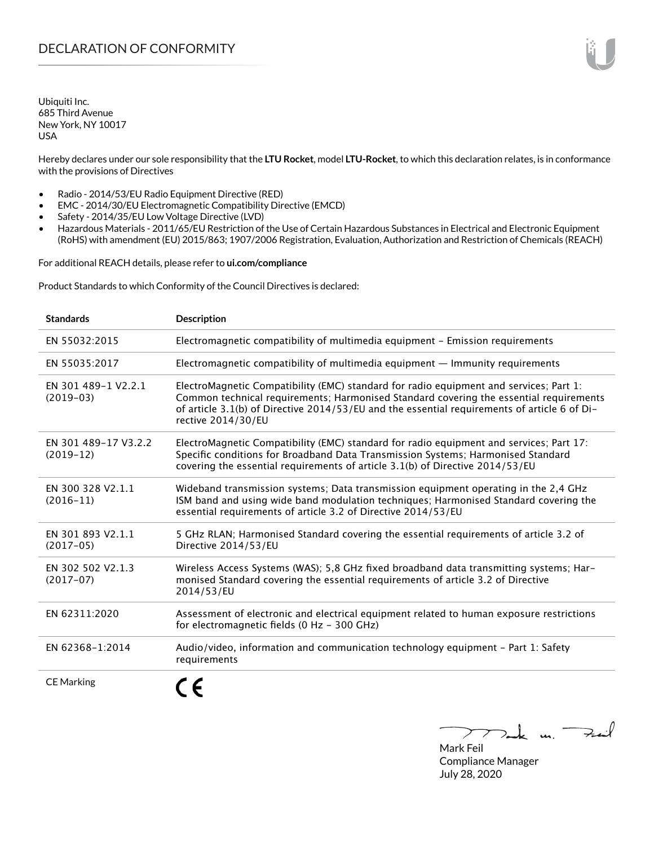Ubiquiti Inc. 685 Third Avenue New York, NY 10017 USA

Hereby declares under our sole responsibility that the **LTU Rocket**, model **LTU-Rocket**, to which this declaration relates, is in conformance with the provisions of Directives

- Radio 2014/53/EU Radio Equipment Directive (RED)
- EMC 2014/30/EU Electromagnetic Compatibility Directive (EMCD)
- Safety 2014/35/EU Low Voltage Directive (LVD)
- Hazardous Materials 2011/65/EU Restriction of the Use of Certain Hazardous Substances in Electrical and Electronic Equipment (RoHS) with amendment (EU) 2015/863; 1907/2006 Registration, Evaluation, Authorization and Restriction of Chemicals (REACH)

For additional REACH details, please refer to **<ui.com/compliance>**

Product Standards to which Conformity of the Council Directives is declared:

| <b>Standards</b>                    | <b>Description</b>                                                                                                                                                                                                                                                                                     |
|-------------------------------------|--------------------------------------------------------------------------------------------------------------------------------------------------------------------------------------------------------------------------------------------------------------------------------------------------------|
| EN 55032:2015                       | Electromagnetic compatibility of multimedia equipment - Emission requirements                                                                                                                                                                                                                          |
| EN 55035:2017                       | Electromagnetic compatibility of multimedia equipment - Immunity requirements                                                                                                                                                                                                                          |
| EN 301 489-1 V2.2.1<br>$(2019-03)$  | ElectroMagnetic Compatibility (EMC) standard for radio equipment and services; Part 1:<br>Common technical requirements; Harmonised Standard covering the essential requirements<br>of article 3.1(b) of Directive 2014/53/EU and the essential requirements of article 6 of Di-<br>rective 2014/30/EU |
| EN 301 489-17 V3.2.2<br>$(2019-12)$ | ElectroMagnetic Compatibility (EMC) standard for radio equipment and services; Part 17:<br>Specific conditions for Broadband Data Transmission Systems; Harmonised Standard<br>covering the essential requirements of article 3.1(b) of Directive 2014/53/EU                                           |
| EN 300 328 V2.1.1<br>$(2016 - 11)$  | Wideband transmission systems; Data transmission equipment operating in the 2,4 GHz<br>ISM band and using wide band modulation techniques; Harmonised Standard covering the<br>essential requirements of article 3.2 of Directive 2014/53/EU                                                           |
| EN 301 893 V2.1.1<br>$(2017-05)$    | 5 GHz RLAN; Harmonised Standard covering the essential requirements of article 3.2 of<br>Directive 2014/53/EU                                                                                                                                                                                          |
| EN 302 502 V2.1.3<br>$(2017-07)$    | Wireless Access Systems (WAS); 5,8 GHz fixed broadband data transmitting systems; Har-<br>monised Standard covering the essential requirements of article 3.2 of Directive<br>2014/53/EU                                                                                                               |
| EN 62311:2020                       | Assessment of electronic and electrical equipment related to human exposure restrictions<br>for electromagnetic fields (0 Hz - 300 GHz)                                                                                                                                                                |
| EN 62368-1:2014                     | Audio/video, information and communication technology equipment - Part 1: Safety<br>requirements                                                                                                                                                                                                       |
| <b>CE Marking</b>                   |                                                                                                                                                                                                                                                                                                        |

Tak m. Fail  $\overline{\phantom{a}}$ 

Mark Feil Compliance Manager July 28, 2020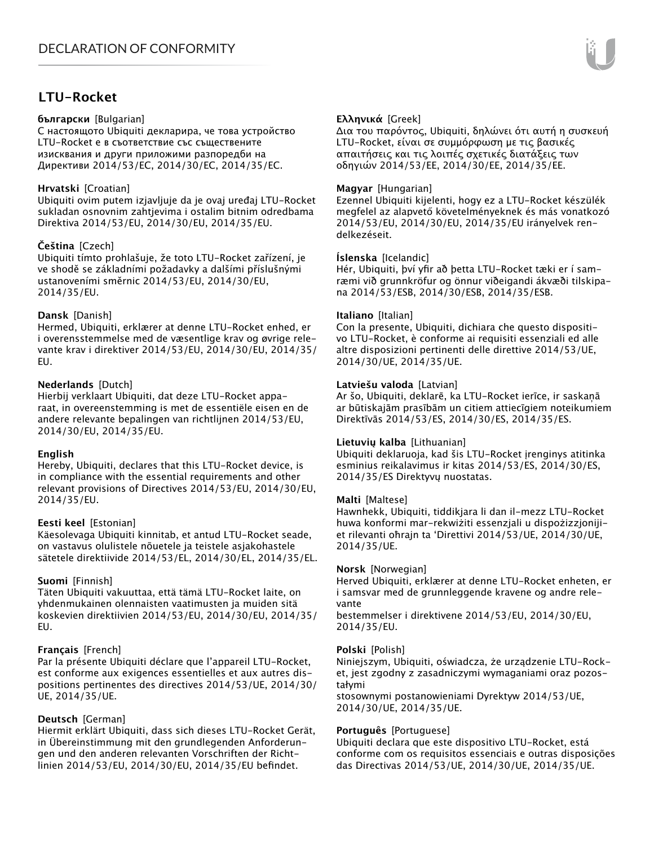# **LTU-Rocket**

## **български** [Bulgarian]

С настоящото Ubiquiti декларира, че това устройство LTU-Rocket е в съответствие със съществените изисквания и други приложими разпоредби на Директиви 2014/53/EC, 2014/30/ЕС, 2014/35/ЕС.

## **Hrvatski** [Croatian]

Ubiquiti ovim putem izjavljuje da je ovaj uređaj LTU-Rocket sukladan osnovnim zahtjevima i ostalim bitnim odredbama Direktiva 2014/53/EU, 2014/30/EU, 2014/35/EU.

# **Čeština** [Czech]

Ubiquiti tímto prohlašuje, že toto LTU-Rocket zařízení, je ve shodě se základními požadavky a dalšími příslušnými ustanoveními směrnic 2014/53/EU, 2014/30/EU, 2014/35/EU.

# **Dansk** [Danish]

Hermed, Ubiquiti, erklærer at denne LTU-Rocket enhed, er i overensstemmelse med de væsentlige krav og øvrige relevante krav i direktiver 2014/53/EU, 2014/30/EU, 2014/35/ EU.

## **Nederlands** [Dutch]

Hierbij verklaart Ubiquiti, dat deze LTU-Rocket apparaat, in overeenstemming is met de essentiële eisen en de andere relevante bepalingen van richtlijnen 2014/53/EU, 2014/30/EU, 2014/35/EU.

#### **English**

Hereby, Ubiquiti, declares that this LTU-Rocket device, is in compliance with the essential requirements and other relevant provisions of Directives 2014/53/EU, 2014/30/EU, 2014/35/EU.

# **Eesti keel** [Estonian]

Käesolevaga Ubiquiti kinnitab, et antud LTU-Rocket seade, on vastavus olulistele nõuetele ja teistele asjakohastele sätetele direktiivide 2014/53/EL, 2014/30/EL, 2014/35/EL.

# **Suomi** [Finnish]

Täten Ubiquiti vakuuttaa, että tämä LTU-Rocket laite, on yhdenmukainen olennaisten vaatimusten ja muiden sitä koskevien direktiivien 2014/53/EU, 2014/30/EU, 2014/35/ EU.

#### **Français** [French]

Par la présente Ubiquiti déclare que l'appareil LTU-Rocket, est conforme aux exigences essentielles et aux autres dispositions pertinentes des directives 2014/53/UE, 2014/30/ UE, 2014/35/UE.

# **Deutsch** [German]

Hiermit erklärt Ubiquiti, dass sich dieses LTU-Rocket Gerät, in Übereinstimmung mit den grundlegenden Anforderungen und den anderen relevanten Vorschriften der Richtlinien 2014/53/EU, 2014/30/EU, 2014/35/EU befindet.

# **Ελληνικά** [Greek]

Δια του παρόντος, Ubiquiti, δηλώνει ότι αυτή η συσκευή LTU-Rocket, είναι σε συμμόρφωση με τις βασικές απαιτήσεις και τις λοιπές σχετικές διατάξεις των οδηγιών 2014/53/EE, 2014/30/EE, 2014/35/EE.

## **Magyar** [Hungarian]

Ezennel Ubiquiti kijelenti, hogy ez a LTU-Rocket készülék megfelel az alapvető követelményeknek és más vonatkozó 2014/53/EU, 2014/30/EU, 2014/35/EU irányelvek rendelkezéseit.

## **Íslenska** [Icelandic]

Hér, Ubiquiti, því yfir að þetta LTU-Rocket tæki er í samræmi við grunnkröfur og önnur viðeigandi ákvæði tilskipana 2014/53/ESB, 2014/30/ESB, 2014/35/ESB.

#### **Italiano** [Italian]

Con la presente, Ubiquiti, dichiara che questo dispositivo LTU-Rocket, è conforme ai requisiti essenziali ed alle altre disposizioni pertinenti delle direttive 2014/53/UE, 2014/30/UE, 2014/35/UE.

## **Latviešu valoda** [Latvian]

Ar šo, Ubiquiti, deklarē, ka LTU-Rocket ierīce, ir saskaņā ar būtiskajām prasībām un citiem attiecīgiem noteikumiem Direktīvās 2014/53/ES, 2014/30/ES, 2014/35/ES.

#### **Lietuvių kalba** [Lithuanian]

Ubiquiti deklaruoja, kad šis LTU-Rocket įrenginys atitinka esminius reikalavimus ir kitas 2014/53/ES, 2014/30/ES, 2014/35/ES Direktyvų nuostatas.

#### **Malti** [Maltese]

Hawnhekk, Ubiquiti, tiddikjara li dan il-mezz LTU-Rocket huwa konformi mar-rekwiżiti essenzjali u dispożizzjonijiet rilevanti oħrajn ta 'Direttivi 2014/53/UE, 2014/30/UE, 2014/35/UE.

#### **Norsk** [Norwegian]

Herved Ubiquiti, erklærer at denne LTU-Rocket enheten, er i samsvar med de grunnleggende kravene og andre relevante

bestemmelser i direktivene 2014/53/EU, 2014/30/EU, 2014/35/EU.

#### **Polski** [Polish]

Niniejszym, Ubiquiti, oświadcza, że urządzenie LTU-Rocket, jest zgodny z zasadniczymi wymaganiami oraz pozostałymi

stosownymi postanowieniami Dyrektyw 2014/53/UE, 2014/30/UE, 2014/35/UE.

# **Português** [Portuguese]

Ubiquiti declara que este dispositivo LTU-Rocket, está conforme com os requisitos essenciais e outras disposições das Directivas 2014/53/UE, 2014/30/UE, 2014/35/UE.